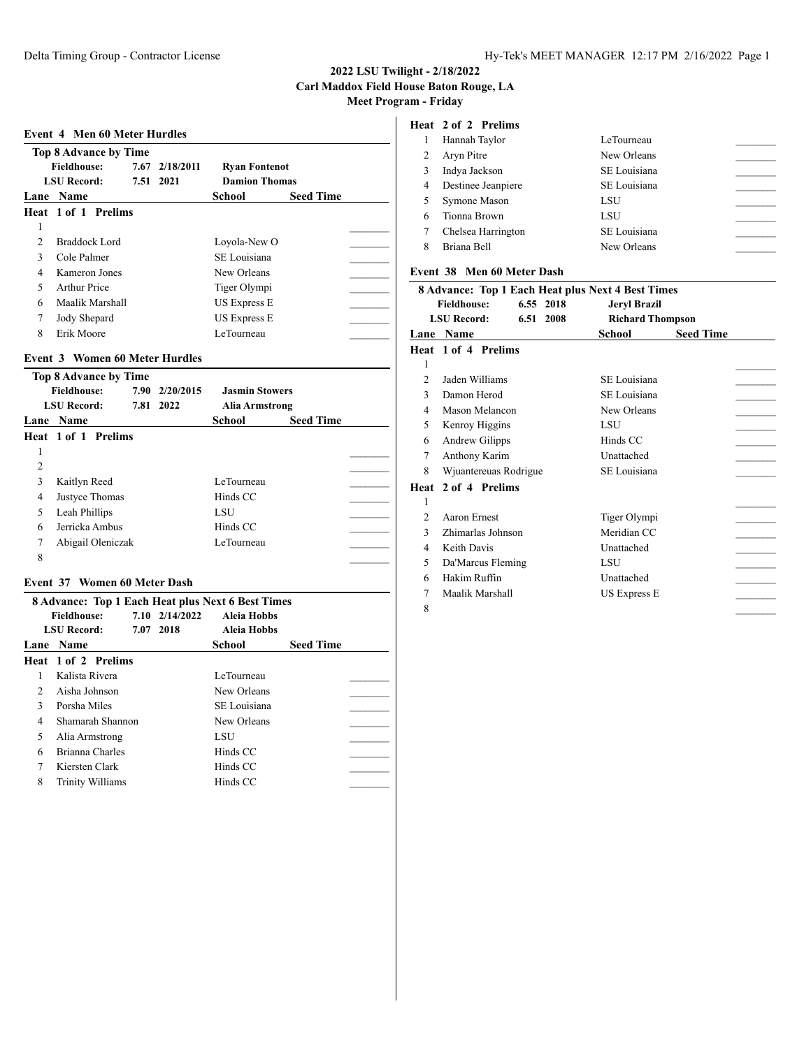|               | Event 4 Men 60 Meter Hurdles |                |                      |                  |  |
|---------------|------------------------------|----------------|----------------------|------------------|--|
|               | Top 8 Advance by Time        |                |                      |                  |  |
|               | <b>Fieldhouse:</b>           | 7.67 2/18/2011 | <b>Ryan Fontenot</b> |                  |  |
|               | <b>LSU Record:</b>           | 7.51 2021      | <b>Damion Thomas</b> |                  |  |
|               | Lane Name                    |                | <b>School</b>        | <b>Seed Time</b> |  |
|               | Heat 1 of 1 Prelims          |                |                      |                  |  |
| 1             |                              |                |                      |                  |  |
| $\mathcal{D}$ | Braddock Lord                |                | Loyola-New O         |                  |  |
| 3             | Cole Palmer                  |                | SE Louisiana         |                  |  |
| 4             | Kameron Jones                |                | New Orleans          |                  |  |
| 5             | Arthur Price                 |                | Tiger Olympi         |                  |  |
| 6             | Maalik Marshall              |                | US Express E         |                  |  |
| 7             | Jody Shepard                 |                | US Express E         |                  |  |
| 8             | Erik Moore                   |                | LeTourneau           |                  |  |

# **Event 3 Women 60 Meter Hurdles**

|   | <b>Top 8 Advance by Time</b> |                |                       |                  |  |
|---|------------------------------|----------------|-----------------------|------------------|--|
|   | <b>Fieldhouse:</b>           | 7.90 2/20/2015 | <b>Jasmin Stowers</b> |                  |  |
|   | <b>LSU Record:</b>           | 7.81 2022      | Alia Armstrong        |                  |  |
|   | <b>Lane Name</b>             |                | School                | <b>Seed Time</b> |  |
|   | Heat 1 of 1 Prelims          |                |                       |                  |  |
|   |                              |                |                       |                  |  |
| 2 |                              |                |                       |                  |  |
| 3 | Kaitlyn Reed                 |                | LeTourneau            |                  |  |
| 4 | Justyce Thomas               |                | Hinds CC              |                  |  |
| 5 | Leah Phillips                |                | LSU                   |                  |  |
| 6 | Jerricka Ambus               |                | Hinds CC              |                  |  |
| 7 | Abigail Oleniczak            |                | LeTourneau            |                  |  |
| 8 |                              |                |                       |                  |  |
|   |                              |                |                       |                  |  |

# **Event 37 Women 60 Meter Dash**

|               | <b>8 Advance: Top 1 Each Heat plus Next 6 Best Times</b> |                |                    |                  |  |
|---------------|----------------------------------------------------------|----------------|--------------------|------------------|--|
|               | <b>Fieldhouse:</b>                                       | 7.10 2/14/2022 | <b>Aleia Hobbs</b> |                  |  |
|               | <b>LSU Record:</b>                                       | 7.07 2018      | <b>Aleia Hobbs</b> |                  |  |
|               | <b>Lane Name</b>                                         |                | School             | <b>Seed Time</b> |  |
|               | <b>Heat 1 of 2 Prelims</b>                               |                |                    |                  |  |
|               | Kalista Rivera                                           |                | LeTourneau         |                  |  |
| $\mathcal{P}$ | Aisha Johnson                                            |                | New Orleans        |                  |  |
| 3             | Porsha Miles                                             |                | SE Louisiana       |                  |  |
| 4             | Shamarah Shannon                                         |                | New Orleans        |                  |  |
| 5             | Alia Armstrong                                           |                | LSU                |                  |  |
| 6             | Brianna Charles                                          |                | Hinds CC           |                  |  |
|               | Kiersten Clark                                           |                | Hinds CC           |                  |  |
| 8             | Trinity Williams                                         |                | Hinds CC           |                  |  |

# **Heat 2 of 2 Prelims**

|   | Hannah Taylor      | LeTourneau   |
|---|--------------------|--------------|
|   | Aryn Pitre         | New Orleans  |
|   | Indya Jackson      | SE Louisiana |
| 4 | Destinee Jeanpiere | SE Louisiana |
|   | Symone Mason       | LSU          |
| 6 | Tionna Brown       | LSU          |
|   | Chelsea Harrington | SE Louisiana |
| 8 | Briana Bell        | New Orleans  |
|   |                    |              |

### **Event 38 Men 60 Meter Dash**

| <b>8 Advance: Top 1 Each Heat plus Next 4 Best Times</b> |                                 |                         |                  |  |  |  |
|----------------------------------------------------------|---------------------------------|-------------------------|------------------|--|--|--|
|                                                          | <b>Fieldhouse:</b><br>6.55 2018 | <b>Jeryl Brazil</b>     |                  |  |  |  |
|                                                          | <b>LSU</b> Record:<br>6.51 2008 | <b>Richard Thompson</b> |                  |  |  |  |
| Lane                                                     | <b>Name</b>                     | School                  | <b>Seed Time</b> |  |  |  |
|                                                          | Heat 1 of 4 Prelims             |                         |                  |  |  |  |
| 1                                                        |                                 |                         |                  |  |  |  |
| $\mathfrak{D}$                                           | Jaden Williams                  | SE Louisiana            |                  |  |  |  |
| 3                                                        | Damon Herod                     | SE Louisiana            |                  |  |  |  |
| 4                                                        | Mason Melancon                  | New Orleans             |                  |  |  |  |
| 5                                                        | Kenroy Higgins                  | LSU                     |                  |  |  |  |
| 6                                                        | Andrew Gilipps                  | Hinds CC                |                  |  |  |  |
| 7                                                        | Anthony Karim                   | Unattached              |                  |  |  |  |
| 8                                                        | Wjuantereuas Rodrigue           | SE Louisiana            |                  |  |  |  |
| Heat                                                     | 2 of 4 Prelims                  |                         |                  |  |  |  |
| 1                                                        |                                 |                         |                  |  |  |  |
| 2                                                        | Aaron Ernest                    | Tiger Olympi            |                  |  |  |  |
| 3                                                        | Zhimarlas Johnson               | Meridian CC             |                  |  |  |  |
| 4                                                        | Keith Davis                     | Unattached              |                  |  |  |  |
| 5                                                        | Da'Marcus Fleming               | LSU                     |                  |  |  |  |
| 6                                                        | Hakim Ruffin                    | Unattached              |                  |  |  |  |
| 7                                                        | Maalik Marshall                 | <b>US Express E</b>     |                  |  |  |  |
| 8                                                        |                                 |                         |                  |  |  |  |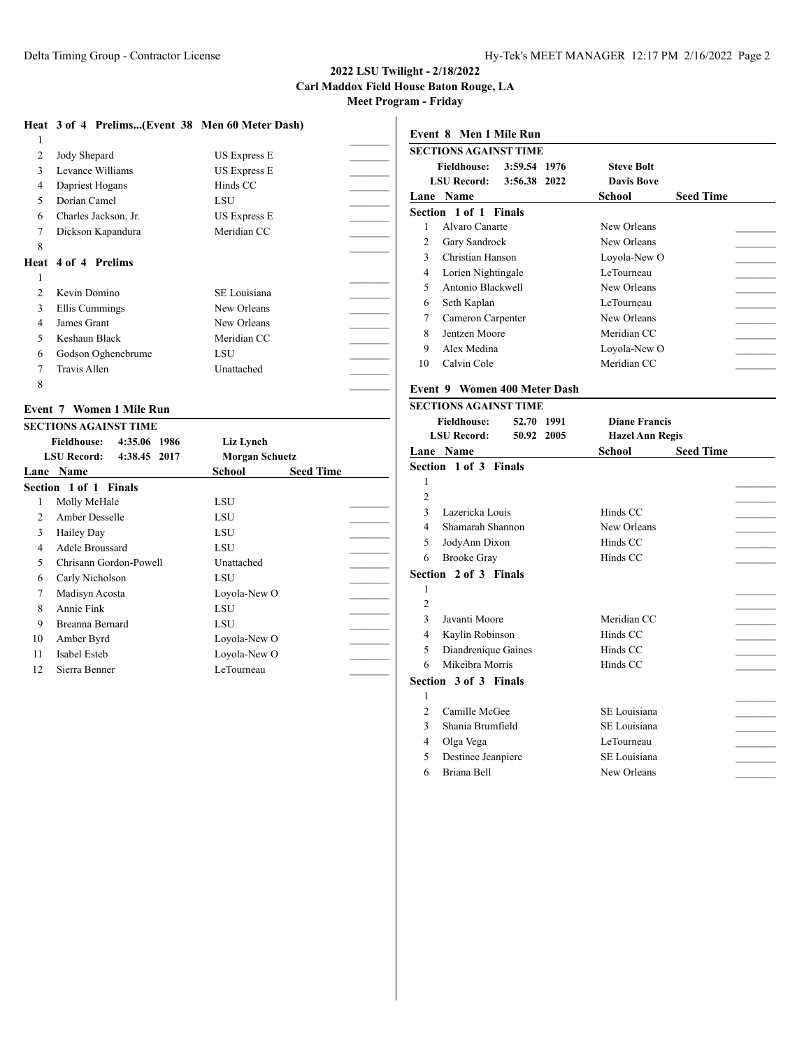### **2022 LSU Twilight - 2/18/2022 Carl Maddox Field House Baton Rouge, LA**

**Meet Program - Friday**

### **Heat 3 of 4 Prelims...(Event 38 Men 60 Meter Dash)**

| 1             |                            |                     |  |
|---------------|----------------------------|---------------------|--|
| 2             | Jody Shepard               | US Express E        |  |
| 3             | Levance Williams           | <b>US Express E</b> |  |
| 4             | Dapriest Hogans            | Hinds CC            |  |
| 5             | Dorian Camel               | LSU                 |  |
| 6             | Charles Jackson, Jr.       | <b>US Express E</b> |  |
| 7             | Dickson Kapandura          | Meridian CC         |  |
| 8             |                            |                     |  |
|               | <b>Heat 4 of 4 Prelims</b> |                     |  |
|               |                            |                     |  |
| 1             |                            |                     |  |
| $\mathcal{L}$ | Kevin Domino               | SE Louisiana        |  |
| 3             | Ellis Cummings             | New Orleans         |  |
| 4             | James Grant                | New Orleans         |  |
| 5             | Keshaun Black              | Meridian CC         |  |
| 6             | Godson Oghenebrume         | LSU                 |  |
|               | Travis Allen               | Unattached          |  |

### **Event 7 Women 1 Mile Run**

|                | <b>SECTIONS AGAINST TIME</b>       |                       |                  |
|----------------|------------------------------------|-----------------------|------------------|
|                | <b>Fieldhouse:</b><br>4:35.06 1986 | Liz Lynch             |                  |
|                | <b>LSU Record:</b><br>4:38.45 2017 | <b>Morgan Schuetz</b> |                  |
| Lane           | <b>Name</b>                        | School                | <b>Seed Time</b> |
|                | Section 1 of 1 Finals              |                       |                  |
| 1              | Molly McHale                       | LSU                   |                  |
| $\mathfrak{D}$ | Amber Desselle                     | LSU                   |                  |
| 3              | Hailey Day                         | LSU                   |                  |
| 4              | Adele Broussard                    | LSU                   |                  |
| 5.             | Chrisann Gordon-Powell             | Unattached            |                  |
| 6              | Carly Nicholson                    | LSU                   |                  |
| 7              | Madisyn Acosta                     | Loyola-New O          |                  |
| 8              | Annie Fink                         | LSU                   |                  |
| 9              | Breanna Bernard                    | LSU                   |                  |
| 10             | Amber Byrd                         | Loyola-New O          |                  |
| 11             | Isabel Esteb                       | Loyola-New O          |                  |
| 12             | Sierra Benner                      | LeTourneau            |                  |
|                |                                    |                       |                  |

# **Event 8 Men 1 Mile Run SECTIONS AGAINST TIME Fieldhouse: 3:59.54 1976 Steve Bolt LSU Record: 3:56.38 2022 Davis Bove Lane Name School Seed Time Section 1 of 1 Finals** 1 Alvaro Canarte New Orleans 2 Gary Sandrock New Orleans 3 Christian Hanson Loyola-New O 4 Lorien Nightingale LeTourneau 5 Antonio Blackwell New Orleans 6 Seth Kaplan LeTourneau LeTourneau LeTourneau 7 Cameron Carpenter New Orleans 8 Jentzen Moore Meridian CC Meridian CC 9 Alex Medina Loyola-New O 10 Calvin Cole Meridian CC

# **Event 9 Women 400 Meter Dash**

|                | <b>SECTIONS AGAINST TIME</b> |            |                        |                  |
|----------------|------------------------------|------------|------------------------|------------------|
|                | <b>Fieldhouse:</b>           | 52.70 1991 | <b>Diane Francis</b>   |                  |
|                | <b>LSU Record:</b>           | 50.92 2005 | <b>Hazel Ann Regis</b> |                  |
|                | Lane Name                    |            | School                 | <b>Seed Time</b> |
|                | Section 1 of 3 Finals        |            |                        |                  |
| 1              |                              |            |                        |                  |
| $\overline{2}$ |                              |            |                        |                  |
| 3              | Lazericka Louis              |            | Hinds CC               |                  |
| $\overline{4}$ | Shamarah Shannon             |            | New Orleans            |                  |
| 5              | JodyAnn Dixon                |            | Hinds CC               |                  |
| 6              | <b>Brooke Gray</b>           |            | Hinds CC               |                  |
|                | Section 2 of 3 Finals        |            |                        |                  |
| 1              |                              |            |                        |                  |
| $\overline{2}$ |                              |            |                        |                  |
| 3              | Javanti Moore                |            | Meridian CC            |                  |
| $\overline{4}$ | Kaylin Robinson              |            | Hinds CC               |                  |
| 5              | Diandrenique Gaines          |            | Hinds CC               |                  |
| 6              | Mikeibra Morris              |            | Hinds CC               |                  |
|                | Section 3 of 3 Finals        |            |                        |                  |
| 1              |                              |            |                        |                  |
| 2              | Camille McGee                |            | SE Louisiana           |                  |
| 3              | Shania Brumfield             |            | SE Louisiana           |                  |
| 4              | Olga Vega                    |            | LeTourneau             |                  |
| 5              | Destinee Jeanpiere           |            | SE Louisiana           |                  |
| 6              | Briana Bell                  |            | New Orleans            |                  |
|                |                              |            |                        |                  |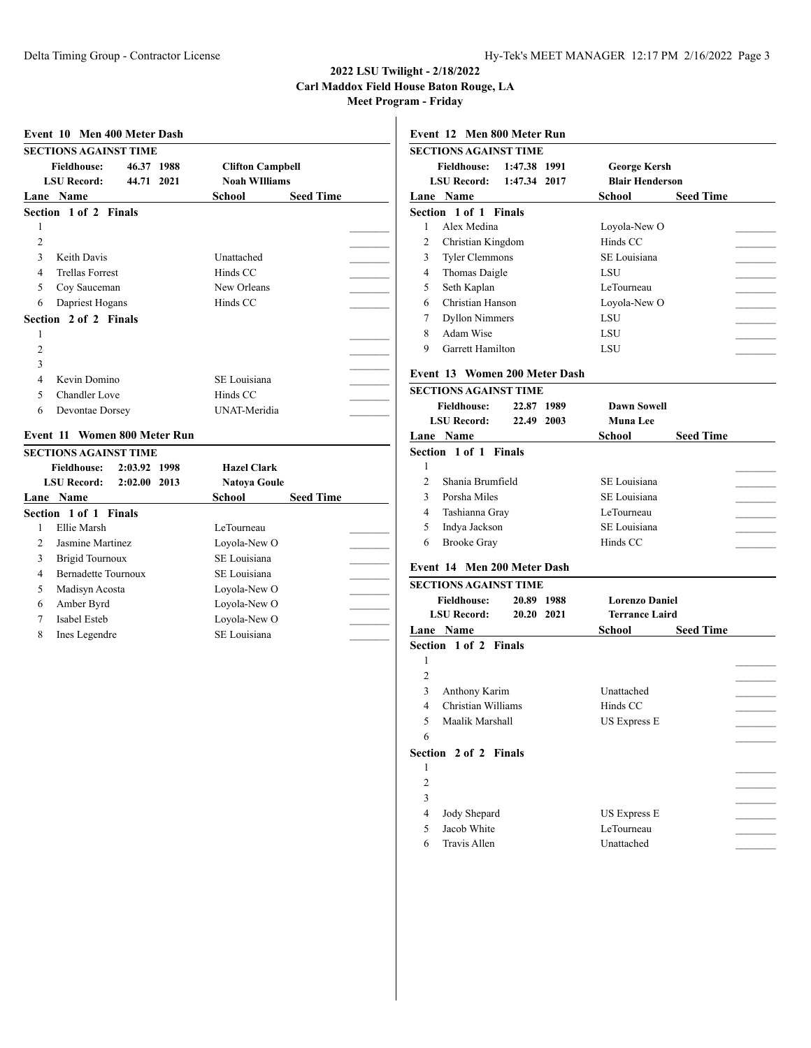# **2022 LSU Twilight - 2/18/2022 Carl Maddox Field House Baton Rouge, LA**

**Meet Program - Friday**

|                | <b>SECTIONS AGAINST TIME</b> |            |      |                         |                  |  |
|----------------|------------------------------|------------|------|-------------------------|------------------|--|
|                | <b>Fieldhouse:</b>           | 46.37 1988 |      | <b>Clifton Campbell</b> |                  |  |
|                | <b>LSU Record:</b>           | 44.71      | 2021 | <b>Noah WIlliams</b>    |                  |  |
|                | Lane Name                    |            |      | School                  | <b>Seed Time</b> |  |
|                | Section 1 of 2 Finals        |            |      |                         |                  |  |
| 1              |                              |            |      |                         |                  |  |
| 2              |                              |            |      |                         |                  |  |
| 3              | Keith Davis                  |            |      | Unattached              |                  |  |
| 4              | <b>Trellas Forrest</b>       |            |      | Hinds CC                |                  |  |
| 5              | Coy Sauceman                 |            |      | New Orleans             |                  |  |
| 6              | Dapriest Hogans              |            |      | Hinds CC                |                  |  |
|                | Section 2 of 2 Finals        |            |      |                         |                  |  |
| 1              |                              |            |      |                         |                  |  |
| $\overline{c}$ |                              |            |      |                         |                  |  |
| 3              |                              |            |      |                         |                  |  |
| $\overline{4}$ | Kevin Domino                 |            |      | SE Louisiana            |                  |  |
| 5              | <b>Chandler Love</b>         |            |      | Hinds CC                |                  |  |
| 6              | Devontae Dorsey              |            |      | <b>UNAT-Meridia</b>     |                  |  |
|                |                              |            |      |                         |                  |  |
|                | Event 11 Women 800 Meter Run |            |      |                         |                  |  |

|                | эестово адавия твие                  |                     |                  |
|----------------|--------------------------------------|---------------------|------------------|
|                | 2:03.92 1998<br><b>Fieldhouse:</b>   | <b>Hazel Clark</b>  |                  |
|                | <b>LSU Record:</b><br>$2:02.00$ 2013 | <b>Natoya Goule</b> |                  |
|                | Lane Name                            | School              | <b>Seed Time</b> |
|                | Section 1 of 1 Finals                |                     |                  |
|                | Ellie Marsh                          | LeTourneau          |                  |
| $\mathfrak{D}$ | Jasmine Martinez                     | Loyola-New O        |                  |
| 3              | <b>Brigid Tournoux</b>               | SE Louisiana        |                  |
| 4              | <b>Bernadette Tournoux</b>           | SE Louisiana        |                  |
| 5              | Madisyn Acosta                       | Loyola-New O        |                  |
| 6              | Amber Byrd                           | Loyola-New O        |                  |
| 7              | Isabel Esteb                         | Loyola-New O        |                  |
| 8              | Ines Legendre                        | SE Louisiana        |                  |

# **Event 12 Men 800 Meter Run SECTIONS AGAINST TIME Fieldhouse: 1:47.38 1991 George Kersh LSU Record: 1:47.34 2017 Blair Henderson Lane Name School Seed Time Section 1 of 1 Finals** 1 Alex Medina Loyola-New O 2 Christian Kingdom Hinds CC 3 Tyler Clemmons SE Louisiana 4 Thomas Daigle LSU 5 Seth Kaplan LeTourneau 6 Christian Hanson Loyola-New O \_\_\_\_\_\_\_\_\_ 7 Dyllon Nimmers LSU 8 Adam Wise LSU 9 Garrett Hamilton LSU

### **Event 13 Women 200 Meter Dash**

|   | SECTIONS AGAINST TIME            |                    |                  |
|---|----------------------------------|--------------------|------------------|
|   | 22.87 1989<br><b>Fieldhouse:</b> | <b>Dawn Sowell</b> |                  |
|   | <b>LSU Record:</b><br>22.49 2003 | Muna Lee           |                  |
|   | <b>Lane Name</b>                 | School             | <b>Seed Time</b> |
|   | Section 1 of 1 Finals            |                    |                  |
| 1 |                                  |                    |                  |
|   | Shania Brumfield                 | SE Louisiana       |                  |
|   | Porsha Miles                     | SE Louisiana       |                  |
| 4 | Tashianna Gray                   | LeTourneau         |                  |
| 5 | Indya Jackson                    | SE Louisiana       |                  |
| 6 | <b>Brooke Gray</b>               | Hinds CC           |                  |

# **Event 14 Men 200 Meter Dash**

| <b>Fieldhouse:</b><br><b>Lorenzo Daniel</b><br>20.89 1988<br><b>LSU Record:</b><br><b>Terrance Laird</b><br>20.20 2021<br><b>Seed Time</b><br><b>Lane Name</b><br>School<br><b>Section 1 of 2 Finals</b> |  |
|----------------------------------------------------------------------------------------------------------------------------------------------------------------------------------------------------------|--|
|                                                                                                                                                                                                          |  |
|                                                                                                                                                                                                          |  |
|                                                                                                                                                                                                          |  |
|                                                                                                                                                                                                          |  |
| 1                                                                                                                                                                                                        |  |
| $\overline{c}$                                                                                                                                                                                           |  |
| Unattached<br>3<br>Anthony Karim                                                                                                                                                                         |  |
| Christian Williams<br>Hinds CC<br>4                                                                                                                                                                      |  |
| Maalik Marshall<br>5<br><b>US Express E</b>                                                                                                                                                              |  |
| 6                                                                                                                                                                                                        |  |
| Section 2 of 2 Finals                                                                                                                                                                                    |  |
| 1                                                                                                                                                                                                        |  |
| 2                                                                                                                                                                                                        |  |
| 3                                                                                                                                                                                                        |  |
| Jody Shepard<br><b>US Express E</b><br>4                                                                                                                                                                 |  |
| 5<br>Jacob White<br>LeTourneau                                                                                                                                                                           |  |
| Travis Allen<br>Unattached<br>6                                                                                                                                                                          |  |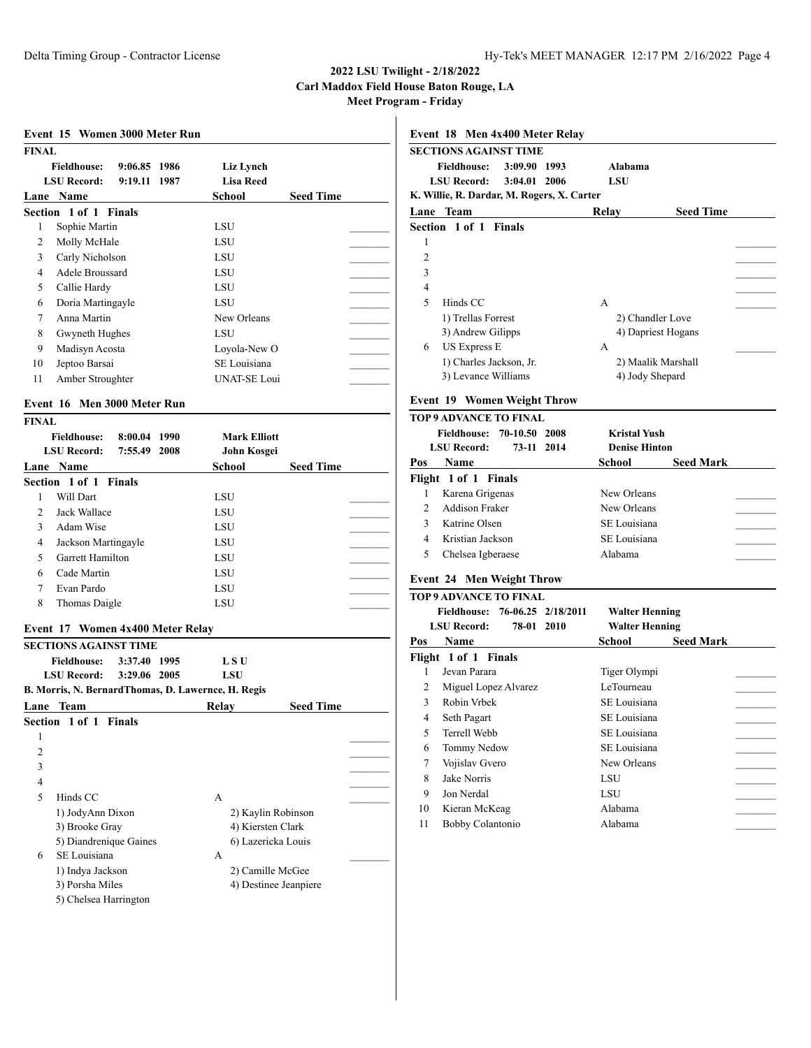| <b>FINAL</b>                                             |                     |                  |
|----------------------------------------------------------|---------------------|------------------|
| <b>Fieldhouse:</b><br>9:06.85 1986                       | Liz Lynch           |                  |
| <b>LSU Record:</b><br>9:19.11 1987                       | <b>Lisa Reed</b>    |                  |
| Lane Name                                                | School              | <b>Seed Time</b> |
| Section 1 of 1 Finals                                    |                     |                  |
| Sophie Martin<br>1                                       | LSU                 |                  |
| 2<br>Molly McHale                                        | <b>LSU</b>          |                  |
| 3<br>Carly Nicholson                                     | LSU                 |                  |
| $\overline{4}$<br>Adele Broussard                        | <b>LSU</b>          |                  |
| 5<br>Callie Hardy                                        | LSU                 |                  |
| Doria Martingayle<br>6                                   | LSU                 |                  |
| $\tau$<br>Anna Martin                                    | New Orleans         |                  |
| 8<br>Gwyneth Hughes                                      | LSU                 |                  |
| Madisyn Acosta<br>9                                      | Loyola-New O        |                  |
| Jeptoo Barsai<br>10                                      | SE Louisiana        |                  |
| Amber Stroughter<br>11                                   | <b>UNAT-SE Loui</b> |                  |
|                                                          |                     |                  |
| Event 16 Men 3000 Meter Run                              |                     |                  |
| <b>FINAL</b>                                             |                     |                  |
| <b>Fieldhouse:</b><br>8:00.04 1990<br><b>LSU Record:</b> | <b>Mark Elliott</b> |                  |
| 7:55.49 2008                                             | John Kosgei         |                  |
| Lane Name<br>Section 1 of 1 Finals                       | <b>School</b>       | <b>Seed Time</b> |
|                                                          |                     |                  |
| Will Dart<br>1<br>2<br>Jack Wallace                      | LSU                 |                  |
| 3<br>Adam Wise                                           | LSU<br>LSU          |                  |
| $\overline{4}$                                           |                     |                  |
| Jackson Martingayle<br>5<br>Garrett Hamilton             | LSU<br>LSU          |                  |
| Cade Martin<br>6                                         | LSU                 |                  |
| 7                                                        |                     |                  |
| Evan Pardo<br>8                                          | LSU<br>LSU          |                  |
| Thomas Daigle                                            |                     |                  |
| Event 17 Women 4x400 Meter Relay                         |                     |                  |
| <b>SECTIONS AGAINST TIME</b>                             |                     |                  |
| <b>Fieldhouse:</b><br>3:37.40 1995                       | L S U               |                  |
| <b>LSU Record:</b><br>3:29.06 2005                       | LSU                 |                  |
| B. Morris, N. BernardThomas, D. Lawernce, H. Regis       |                     |                  |
| Lane<br>Team                                             | Relay               | <b>Seed Time</b> |
| <b>Section</b><br>1 of 1<br><b>Finals</b>                |                     |                  |
| 1                                                        |                     |                  |
| 2                                                        |                     |                  |
| 3                                                        |                     |                  |
| $\overline{4}$                                           |                     |                  |
| 5<br>Hinds CC                                            | A                   |                  |
| 1) JodyAnn Dixon                                         | 2) Kaylin Robinson  |                  |
|                                                          | 4) Kiersten Clark   |                  |

5) Diandrenique Gaines 6) Lazericka Louis

1) Indya Jackson 2) Camille McGee 3) Porsha Miles 4) Destinee Jeanpiere

6 SE Louisiana A \_\_\_\_\_\_\_\_\_

5) Chelsea Harrington

| SECTIONS AGAINST TIME                      |                          |            |                    |                  |  |
|--------------------------------------------|--------------------------|------------|--------------------|------------------|--|
|                                            | Fieldhouse: 3:09.90 1993 |            | Alabama            |                  |  |
|                                            | LSU Record: 3:04.01 2006 | <b>LSU</b> |                    |                  |  |
| K. Willie, R. Dardar, M. Rogers, X. Carter |                          |            |                    |                  |  |
| Lane Team                                  |                          | Relav      |                    | <b>Seed Time</b> |  |
| Section 1 of 1 Finals                      |                          |            |                    |                  |  |
| 1                                          |                          |            |                    |                  |  |
| $\overline{c}$                             |                          |            |                    |                  |  |
| 3                                          |                          |            |                    |                  |  |
| $\overline{4}$                             |                          |            |                    |                  |  |
| $\overline{\phantom{0}}$<br>Hinds CC       |                          | A          |                    |                  |  |
| 1) Trellas Forrest                         |                          |            | 2) Chandler Love   |                  |  |
|                                            | 3) Andrew Gilipps        |            | 4) Dapriest Hogans |                  |  |
| <b>US Express E</b><br>6                   |                          | А          |                    |                  |  |
|                                            | 1) Charles Jackson, Jr.  |            | 2) Maalik Marshall |                  |  |
|                                            | 3) Levance Williams      |            | 4) Jody Shepard    |                  |  |

### **Event 19 Women Weight Throw**

|     | TOP 9 ADVANCE TO FINAL           |                      |                  |
|-----|----------------------------------|----------------------|------------------|
|     | Fieldhouse: 70-10.50 2008        | <b>Kristal Yush</b>  |                  |
|     | <b>LSU Record:</b><br>73-11 2014 | <b>Denise Hinton</b> |                  |
| Pos | <b>Name</b>                      | School               | <b>Seed Mark</b> |
|     | Flight 1 of 1 Finals             |                      |                  |
|     | Karena Grigenas                  | New Orleans          |                  |
|     | <b>Addison Fraker</b>            | New Orleans          |                  |
|     | Katrine Olsen                    | SE Louisiana         |                  |
|     | Kristian Jackson                 | SE Louisiana         |                  |
|     | Chelsea Igberaese                | Alabama              |                  |
|     |                                  |                      |                  |

## **Event 24 Men Weight Throw**

# **P 9 ADVANCE TO FINAL**

|     | 76-06.25 2/18/2011<br><b>Fieldhouse:</b> | <b>Walter Henning</b>      |
|-----|------------------------------------------|----------------------------|
|     | 78-01 2010<br><b>LSU Record:</b>         | <b>Walter Henning</b>      |
| Pos | <b>Name</b>                              | School<br><b>Seed Mark</b> |
|     | Flight 1 of 1 Finals                     |                            |
|     | Jevan Parara                             | Tiger Olympi               |
| 2   | Miguel Lopez Alvarez                     | LeTourneau                 |
| 3   | Robin Vrbek                              | SE Louisiana               |
| 4   | Seth Pagart                              | SE Louisiana               |
| 5   | Terrell Webb                             | SE Louisiana               |
| 6   | Tommy Nedow                              | SE Louisiana               |
| 7   | Vojislav Gvero                           | New Orleans                |
| 8   | Jake Norris                              | LSU                        |
| 9   | Jon Nerdal                               | LSU                        |
| 10  | Kieran McKeag                            | Alabama                    |
| 11  | Bobby Colantonio                         | Alabama                    |
|     |                                          |                            |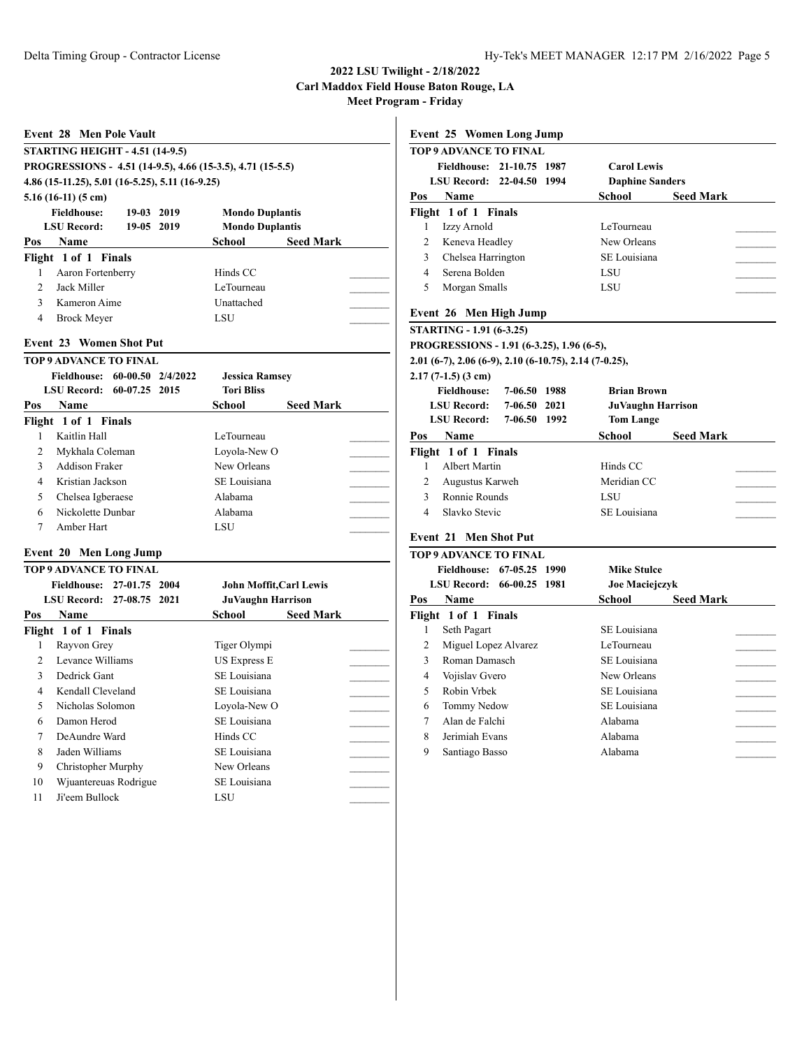|                | Event 28 Men Pole Vault                                    |                        |                  | F                       |
|----------------|------------------------------------------------------------|------------------------|------------------|-------------------------|
|                | <b>STARTING HEIGHT - 4.51 (14-9.5)</b>                     |                        |                  | T                       |
|                | PROGRESSIONS - 4.51 (14-9.5), 4.66 (15-3.5), 4.71 (15-5.5) |                        |                  |                         |
|                | 4.86 (15-11.25), 5.01 (16-5.25), 5.11 (16-9.25)            |                        |                  |                         |
|                | $5.16(16-11)(5 \text{ cm})$                                |                        |                  | $\overline{P}$          |
|                | <b>Fieldhouse:</b><br>19-03 2019                           | <b>Mondo Duplantis</b> |                  | F                       |
|                | <b>LSU Record:</b><br>19-05 2019                           | <b>Mondo Duplantis</b> |                  |                         |
| Pos            | <b>Name</b>                                                | School                 | <b>Seed Mark</b> |                         |
|                | Flight 1 of 1 Finals                                       |                        |                  |                         |
| 1              | Aaron Fortenberry                                          | Hinds CC               |                  |                         |
| $\overline{2}$ | Jack Miller                                                | LeTourneau             |                  |                         |
| $\mathbf{3}$   | Kameron Aime                                               | Unattached             |                  |                         |
| $\overline{4}$ | <b>Brock Meyer</b>                                         | LSU                    |                  | F                       |
|                | <b>Event 23 Women Shot Put</b>                             |                        |                  | S<br>P                  |
|                | <b>TOP 9 ADVANCE TO FINAL</b>                              |                        |                  | $\overline{2}$          |
|                | Fieldhouse: 60-00.50 2/4/2022                              | <b>Jessica Ramsey</b>  |                  | $\overline{2}$          |
|                | LSU Record: 60-07.25 2015                                  | <b>Tori Bliss</b>      |                  |                         |
| Pos            | <b>Name</b>                                                | School                 | <b>Seed Mark</b> |                         |
|                | Flight 1 of 1 Finals                                       |                        |                  |                         |
| 1              | Kaitlin Hall                                               | LeTourneau             |                  | $\overline{\mathbf{b}}$ |
| $\overline{2}$ | Mykhala Coleman                                            | Loyola-New O           |                  | F                       |
| 3              | <b>Addison Fraker</b>                                      | New Orleans            |                  |                         |
| $\overline{4}$ | Kristian Jackson                                           | SE Louisiana           |                  |                         |
| 5              | Chelsea Igberaese                                          | Alabama                |                  |                         |
| 6              | Nickolette Dunbar                                          | Alabama                |                  |                         |
|                |                                                            |                        |                  |                         |

# **Event 20 Men Long Jump**

|                | TOP 9 ADVANCE TO FINAL    |                                |                  |
|----------------|---------------------------|--------------------------------|------------------|
|                | Fieldhouse: 27-01.75 2004 | <b>John Moffit, Carl Lewis</b> |                  |
|                | LSU Record: 27-08.75 2021 | <b>JuVaughn Harrison</b>       |                  |
| Pos            | <b>Name</b>               | School                         | <b>Seed Mark</b> |
|                | Flight 1 of 1 Finals      |                                |                  |
| 1              | Rayvon Grey               | Tiger Olympi                   |                  |
| $\mathfrak{D}$ | Levance Williams          | US Express E                   |                  |
| 3              | Dedrick Gant              | SE Louisiana                   |                  |
| 4              | Kendall Cleveland         | SE Louisiana                   |                  |
| 5              | Nicholas Solomon          | Loyola-New O                   |                  |
| 6              | Damon Herod               | SE Louisiana                   |                  |
| 7              | DeAundre Ward             | Hinds CC                       |                  |
| 8              | Jaden Williams            | SE Louisiana                   |                  |
| 9              | Christopher Murphy        | New Orleans                    |                  |
| 10             | Wjuantereuas Rodrigue     | SE Louisiana                   |                  |
| 11             | Ji'eem Bullock            | LSU                            |                  |
|                |                           |                                |                  |

| <b>Event 25 Women Long Jump</b>                        |                                   |
|--------------------------------------------------------|-----------------------------------|
| <b>TOP 9 ADVANCE TO FINAL</b>                          |                                   |
| Fieldhouse: 21-10.75 1987                              | <b>Carol Lewis</b>                |
| <b>LSU Record:</b><br>$22 - 04.50$<br>1994             | <b>Daphine Sanders</b>            |
| Pos<br><b>Name</b>                                     | <b>School</b><br><b>Seed Mark</b> |
| Flight 1 of 1 Finals                                   |                                   |
| Izzy Arnold<br>1                                       | LeTourneau                        |
| $\overline{c}$<br>Keneva Headley                       | New Orleans                       |
| 3<br>Chelsea Harrington                                | SE Louisiana                      |
| 4<br>Serena Bolden                                     | LSU                               |
| 5<br>Morgan Smalls                                     | LSU                               |
| Event 26 Men High Jump                                 |                                   |
| <b>STARTING - 1.91 (6-3.25)</b>                        |                                   |
| PROGRESSIONS - 1.91 (6-3.25), 1.96 (6-5),              |                                   |
| 2.01 (6-7), 2.06 (6-9), 2.10 (6-10.75), 2.14 (7-0.25), |                                   |
| $2.17(7-1.5)(3 \text{ cm})$                            |                                   |
| <b>Fieldhouse:</b><br>7-06.50 1988                     | <b>Brian Brown</b>                |
| <b>LSU Record:</b><br>7-06.50<br>2021                  | <b>JuVaughn Harrison</b>          |
| <b>LSU Record:</b><br>7-06.50 1992                     | <b>Tom Lange</b>                  |
| Pos<br><b>Name</b>                                     | School<br><b>Seed Mark</b>        |
| Flight 1 of 1 Finals                                   |                                   |
| <b>Albert Martin</b><br>1                              | Hinds CC                          |
| $\overline{2}$<br>Augustus Karweh                      | Meridian CC                       |
| 3<br>Ronnie Rounds                                     | LSU                               |
| Slavko Stevic<br>$\overline{4}$                        | SE Louisiana                      |
|                                                        |                                   |
| <b>Event 21 Men Shot Put</b>                           |                                   |
| <b>TOP 9 ADVANCE TO FINAL</b>                          |                                   |
| 67-05.25 1990<br><b>Fieldhouse:</b>                    | <b>Mike Stulce</b>                |
| <b>LSU Record:</b><br>66-00.25<br>1981                 | Joe Maciejczyk                    |
| <b>Name</b><br>Pos                                     | School<br><b>Seed Mark</b>        |
| Flight 1 of 1 Finals                                   |                                   |
| 1<br>Seth Pagart                                       | SE Louisiana                      |
| 2<br>Miguel Lopez Alvarez                              | LeTourneau                        |
| 3<br>Roman Damasch                                     | SE Louisiana                      |
| 4<br>Vojislav Gvero                                    | New Orleans                       |
| 5<br>Robin Vrbek                                       | SE Louisiana                      |
| 6<br>Tommy Nedow                                       |                                   |
|                                                        | SE Louisiana                      |
| 7<br>Alan de Falchi                                    | Alabama                           |

9 Santiago Basso Alabama \_\_\_\_\_\_\_\_\_